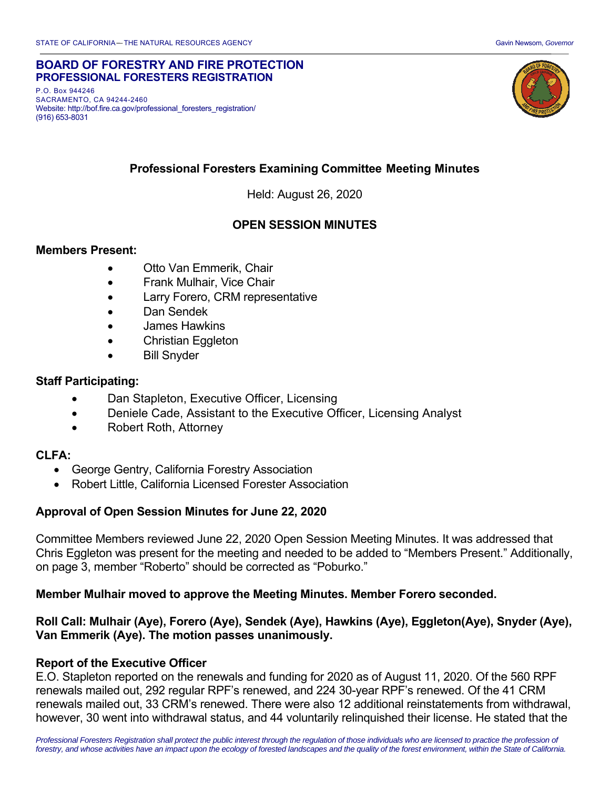### **BOARD OF FORESTRY AND FIRE PROTECTION PROFESSIONAL FORESTERS REGISTRATION**

 P.O. Box 944246 SACRAMENTO, CA 94244-2460 Website: http://bof.fire.ca.gov/professional\_foresters\_registration/ (916) 653-8031



# **Professional Foresters Examining Committee Meeting Minutes**

Held: August 26, 2020

# **OPEN SESSION MINUTES**

### **Members Present:**

- Otto Van Emmerik, Chair
- Frank Mulhair, Vice Chair
- Larry Forero, CRM representative
- Dan Sendek
- James Hawkins
- Christian Eggleton
- Bill Snyder

### **Staff Participating:**

- Dan Stapleton, Executive Officer, Licensing
- Deniele Cade, Assistant to the Executive Officer, Licensing Analyst
- Robert Roth, Attorney

### **CLFA:**

- George Gentry, California Forestry Association
- Robert Little, California Licensed Forester Association

### **Approval of Open Session Minutes for June 22, 2020**

Committee Members reviewed June 22, 2020 Open Session Meeting Minutes. It was addressed that Chris Eggleton was present for the meeting and needed to be added to "Members Present." Additionally, on page 3, member "Roberto" should be corrected as "Poburko."

### **Member Mulhair moved to approve the Meeting Minutes. Member Forero seconded.**

# **Van Emmerik (Aye). The motion passes unanimously. Report of the Executive Officer Roll Call: Mulhair (Aye), Forero (Aye), Sendek (Aye), Hawkins (Aye), Eggleton(Aye), Snyder (Aye),**

E.O. Stapleton reported on the renewals and funding for 2020 as of August 11, 2020. Of the 560 RPF renewals mailed out, 292 regular RPF's renewed, and 224 30-year RPF's renewed. Of the 41 CRM renewals mailed out, 33 CRM's renewed. There were also 12 additional reinstatements from withdrawal, however, 30 went into withdrawal status, and 44 voluntarily relinquished their license. He stated that the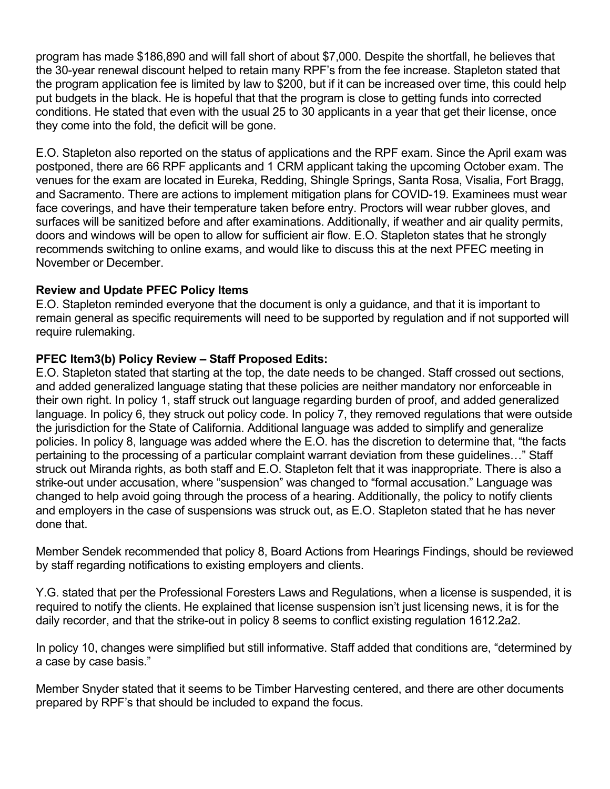program has made \$186,890 and will fall short of about \$7,000. Despite the shortfall, he believes that the 30-year renewal discount helped to retain many RPF's from the fee increase. Stapleton stated that the program application fee is limited by law to \$200, but if it can be increased over time, this could help put budgets in the black. He is hopeful that that the program is close to getting funds into corrected conditions. He stated that even with the usual 25 to 30 applicants in a year that get their license, once they come into the fold, the deficit will be gone.

E.O. Stapleton also reported on the status of applications and the RPF exam. Since the April exam was postponed, there are 66 RPF applicants and 1 CRM applicant taking the upcoming October exam. The venues for the exam are located in Eureka, Redding, Shingle Springs, Santa Rosa, Visalia, Fort Bragg, and Sacramento. There are actions to implement mitigation plans for COVID-19. Examinees must wear face coverings, and have their temperature taken before entry. Proctors will wear rubber gloves, and surfaces will be sanitized before and after examinations. Additionally, if weather and air quality permits, doors and windows will be open to allow for sufficient air flow. E.O. Stapleton states that he strongly recommends switching to online exams, and would like to discuss this at the next PFEC meeting in November or December.

# **Review and Update PFEC Policy Items**

E.O. Stapleton reminded everyone that the document is only a guidance, and that it is important to remain general as specific requirements will need to be supported by regulation and if not supported will require rulemaking.

# **PFEC Item3(b) Policy Review – Staff Proposed Edits:**

 language. In policy 6, they struck out policy code. In policy 7, they removed regulations that were outside struck out Miranda rights, as both staff and E.O. Stapleton felt that it was inappropriate. There is also a E.O. Stapleton stated that starting at the top, the date needs to be changed. Staff crossed out sections, and added generalized language stating that these policies are neither mandatory nor enforceable in their own right. In policy 1, staff struck out language regarding burden of proof, and added generalized the jurisdiction for the State of California. Additional language was added to simplify and generalize policies. In policy 8, language was added where the E.O. has the discretion to determine that, "the facts pertaining to the processing of a particular complaint warrant deviation from these guidelines…" Staff strike-out under accusation, where "suspension" was changed to "formal accusation." Language was changed to help avoid going through the process of a hearing. Additionally, the policy to notify clients and employers in the case of suspensions was struck out, as E.O. Stapleton stated that he has never done that.

Member Sendek recommended that policy 8, Board Actions from Hearings Findings, should be reviewed by staff regarding notifications to existing employers and clients.

Y.G. stated that per the Professional Foresters Laws and Regulations, when a license is suspended, it is required to notify the clients. He explained that license suspension isn't just licensing news, it is for the daily recorder, and that the strike-out in policy 8 seems to conflict existing regulation 1612.2a2.

In policy 10, changes were simplified but still informative. Staff added that conditions are, "determined by a case by case basis."

Member Snyder stated that it seems to be Timber Harvesting centered, and there are other documents prepared by RPF's that should be included to expand the focus.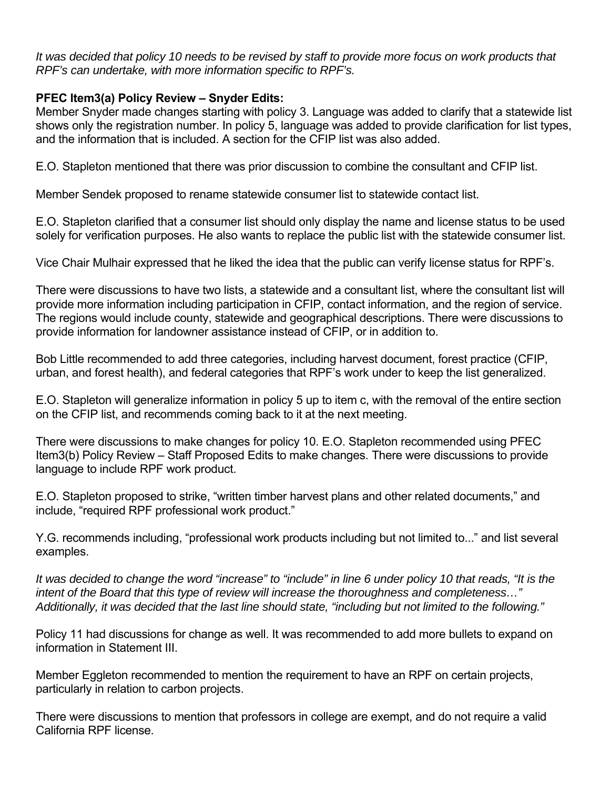It was decided that policy 10 needs to be revised by staff to provide more focus on work products that *RPF's can undertake, with more information specific to RPF's.* 

# **PFEC Item3(a) Policy Review – Snyder Edits:**

 Member Snyder made changes starting with policy 3. Language was added to clarify that a statewide list shows only the registration number. In policy 5, language was added to provide clarification for list types, and the information that is included. A section for the CFIP list was also added.

E.O. Stapleton mentioned that there was prior discussion to combine the consultant and CFIP list.

Member Sendek proposed to rename statewide consumer list to statewide contact list.

 E.O. Stapleton clarified that a consumer list should only display the name and license status to be used solely for verification purposes. He also wants to replace the public list with the statewide consumer list.

Vice Chair Mulhair expressed that he liked the idea that the public can verify license status for RPF's.

 There were discussions to have two lists, a statewide and a consultant list, where the consultant list will provide more information including participation in CFIP, contact information, and the region of service. The regions would include county, statewide and geographical descriptions. There were discussions to provide information for landowner assistance instead of CFIP, or in addition to.

urban, and forest health), and federal categories that RPF's work under to keep the list generalized. Bob Little recommended to add three categories, including harvest document, forest practice (CFIP,

E.O. Stapleton will generalize information in policy 5 up to item c, with the removal of the entire section on the CFIP list, and recommends coming back to it at the next meeting.

There were discussions to make changes for policy 10. E.O. Stapleton recommended using PFEC Item3(b) Policy Review – Staff Proposed Edits to make changes. There were discussions to provide language to include RPF work product.

E.O. Stapleton proposed to strike, "written timber harvest plans and other related documents," and include, "required RPF professional work product."

Y.G. recommends including, "professional work products including but not limited to..." and list several examples.

*It was decided to change the word "increase" to "include" in line 6 under policy 10 that reads, "It is the intent of the Board that this type of review will increase the thoroughness and completeness…" Additionally, it was decided that the last line should state, "including but not limited to the following."* 

Policy 11 had discussions for change as well. It was recommended to add more bullets to expand on information in Statement III.

Member Eggleton recommended to mention the requirement to have an RPF on certain projects, particularly in relation to carbon projects.

There were discussions to mention that professors in college are exempt, and do not require a valid California RPF license.